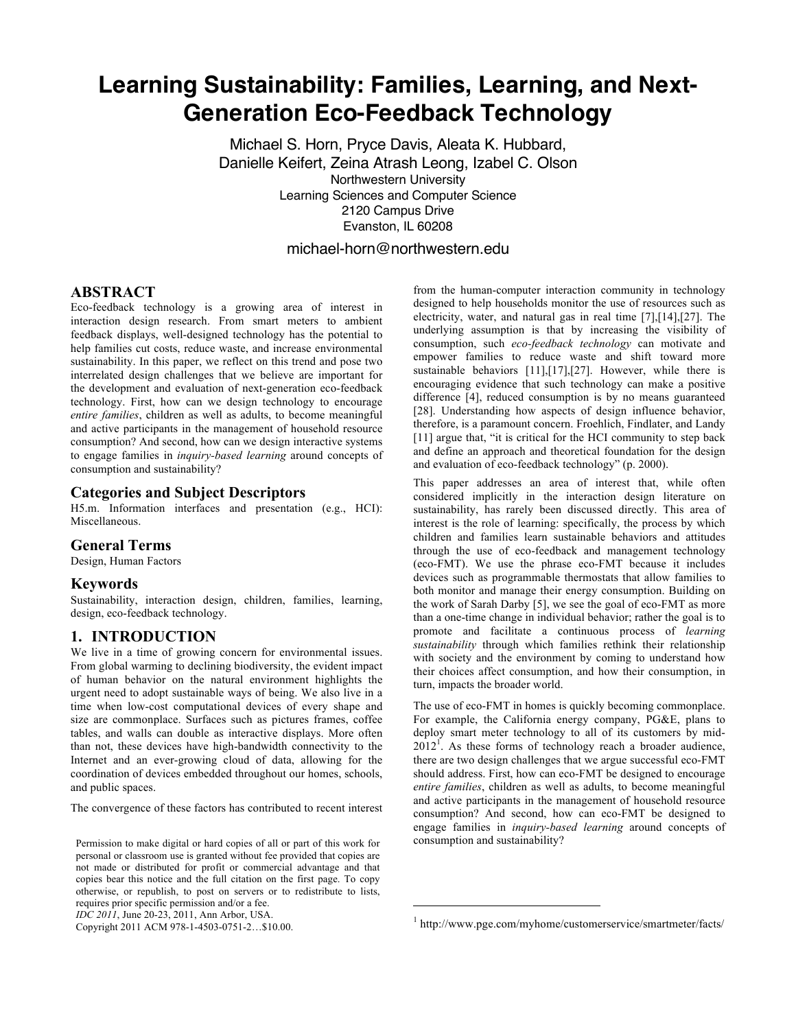# **Learning Sustainability: Families, Learning, and Next-Generation Eco-Feedback Technology**

Michael S. Horn, Pryce Davis, Aleata K. Hubbard, Danielle Keifert, Zeina Atrash Leong, Izabel C. Olson Northwestern University Learning Sciences and Computer Science 2120 Campus Drive Evanston, IL 60208 michael-horn@northwestern.edu

 $\overline{a}$ 

**ABSTRACT** Eco-feedback technology is a growing area of interest in interaction design research. From smart meters to ambient feedback displays, well-designed technology has the potential to help families cut costs, reduce waste, and increase environmental sustainability. In this paper, we reflect on this trend and pose two interrelated design challenges that we believe are important for the development and evaluation of next-generation eco-feedback technology. First, how can we design technology to encourage *entire families*, children as well as adults, to become meaningful and active participants in the management of household resource consumption? And second, how can we design interactive systems to engage families in *inquiry-based learning* around concepts of consumption and sustainability?

#### **Categories and Subject Descriptors**

H5.m. Information interfaces and presentation (e.g., HCI): Miscellaneous.

#### **General Terms**

Design, Human Factors

#### **Keywords**

Sustainability, interaction design, children, families, learning, design, eco-feedback technology.

### **1. INTRODUCTION**

We live in a time of growing concern for environmental issues. From global warming to declining biodiversity, the evident impact of human behavior on the natural environment highlights the urgent need to adopt sustainable ways of being. We also live in a time when low-cost computational devices of every shape and size are commonplace. Surfaces such as pictures frames, coffee tables, and walls can double as interactive displays. More often than not, these devices have high-bandwidth connectivity to the Internet and an ever-growing cloud of data, allowing for the coordination of devices embedded throughout our homes, schools, and public spaces.

The convergence of these factors has contributed to recent interest

*IDC 2011*, June 20-23, 2011, Ann Arbor, USA.

Copyright 2011 ACM 978-1-4503-0751-2…\$10.00.

from the human-computer interaction community in technology designed to help households monitor the use of resources such as electricity, water, and natural gas in real time [7],[14],[27]. The underlying assumption is that by increasing the visibility of consumption, such *eco-feedback technology* can motivate and empower families to reduce waste and shift toward more sustainable behaviors [11],[17],[27]. However, while there is encouraging evidence that such technology can make a positive difference [4], reduced consumption is by no means guaranteed [28]. Understanding how aspects of design influence behavior, therefore, is a paramount concern. Froehlich, Findlater, and Landy [11] argue that, "it is critical for the HCI community to step back and define an approach and theoretical foundation for the design and evaluation of eco-feedback technology" (p. 2000).

This paper addresses an area of interest that, while often considered implicitly in the interaction design literature on sustainability, has rarely been discussed directly. This area of interest is the role of learning: specifically, the process by which children and families learn sustainable behaviors and attitudes through the use of eco-feedback and management technology (eco-FMT). We use the phrase eco-FMT because it includes devices such as programmable thermostats that allow families to both monitor and manage their energy consumption. Building on the work of Sarah Darby [5], we see the goal of eco-FMT as more than a one-time change in individual behavior; rather the goal is to promote and facilitate a continuous process of *learning sustainability* through which families rethink their relationship with society and the environment by coming to understand how their choices affect consumption, and how their consumption, in turn, impacts the broader world.

The use of eco-FMT in homes is quickly becoming commonplace. For example, the California energy company, PG&E, plans to deploy smart meter technology to all of its customers by mid- $2012^{\frac{1}{2}}$ . As these forms of technology reach a broader audience, there are two design challenges that we argue successful eco-FMT should address. First, how can eco-FMT be designed to encourage *entire families*, children as well as adults, to become meaningful and active participants in the management of household resource consumption? And second, how can eco-FMT be designed to engage families in *inquiry-based learning* around concepts of consumption and sustainability?

Permission to make digital or hard copies of all or part of this work for personal or classroom use is granted without fee provided that copies are not made or distributed for profit or commercial advantage and that copies bear this notice and the full citation on the first page. To copy otherwise, or republish, to post on servers or to redistribute to lists, requires prior specific permission and/or a fee.

<sup>&</sup>lt;sup>1</sup> http://www.pge.com/myhome/customerservice/smartmeter/facts/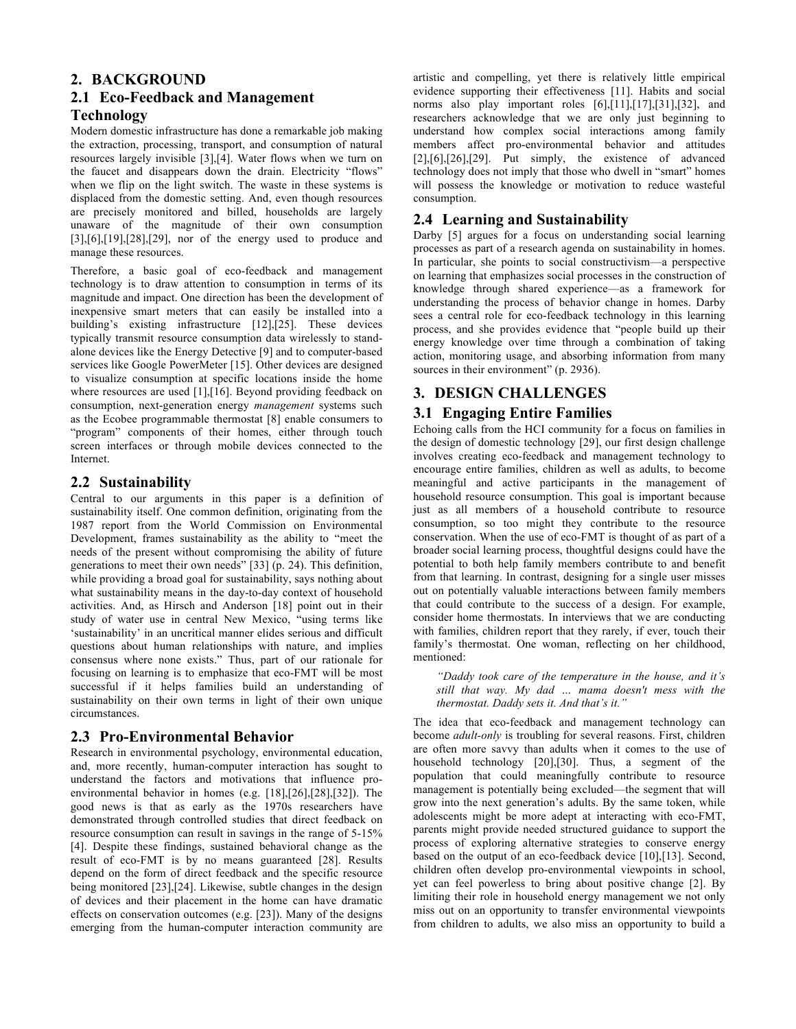# **2. BACKGROUND**

# **2.1 Eco-Feedback and Management**

# **Technology**

Modern domestic infrastructure has done a remarkable job making the extraction, processing, transport, and consumption of natural resources largely invisible [3],[4]. Water flows when we turn on the faucet and disappears down the drain. Electricity "flows" when we flip on the light switch. The waste in these systems is displaced from the domestic setting. And, even though resources are precisely monitored and billed, households are largely unaware of the magnitude of their own consumption [3],[6],[19],[28],[29], nor of the energy used to produce and manage these resources.

Therefore, a basic goal of eco-feedback and management technology is to draw attention to consumption in terms of its magnitude and impact. One direction has been the development of inexpensive smart meters that can easily be installed into a building's existing infrastructure [12],[25]. These devices typically transmit resource consumption data wirelessly to standalone devices like the Energy Detective [9] and to computer-based services like Google PowerMeter [15]. Other devices are designed to visualize consumption at specific locations inside the home where resources are used [1],[16]. Beyond providing feedback on consumption, next-generation energy *management* systems such as the Ecobee programmable thermostat [8] enable consumers to "program" components of their homes, either through touch screen interfaces or through mobile devices connected to the Internet.

# **2.2 Sustainability**

Central to our arguments in this paper is a definition of sustainability itself. One common definition, originating from the 1987 report from the World Commission on Environmental Development, frames sustainability as the ability to "meet the needs of the present without compromising the ability of future generations to meet their own needs" [33] (p. 24). This definition, while providing a broad goal for sustainability, says nothing about what sustainability means in the day-to-day context of household activities. And, as Hirsch and Anderson [18] point out in their study of water use in central New Mexico, "using terms like 'sustainability' in an uncritical manner elides serious and difficult questions about human relationships with nature, and implies consensus where none exists." Thus, part of our rationale for focusing on learning is to emphasize that eco-FMT will be most successful if it helps families build an understanding of sustainability on their own terms in light of their own unique circumstances.

# **2.3 Pro-Environmental Behavior**

Research in environmental psychology, environmental education, and, more recently, human-computer interaction has sought to understand the factors and motivations that influence proenvironmental behavior in homes (e.g. [18],[26],[28],[32]). The good news is that as early as the 1970s researchers have demonstrated through controlled studies that direct feedback on resource consumption can result in savings in the range of 5-15% [4]. Despite these findings, sustained behavioral change as the result of eco-FMT is by no means guaranteed [28]. Results depend on the form of direct feedback and the specific resource being monitored [23],[24]. Likewise, subtle changes in the design of devices and their placement in the home can have dramatic effects on conservation outcomes (e.g. [23]). Many of the designs emerging from the human-computer interaction community are artistic and compelling, yet there is relatively little empirical evidence supporting their effectiveness [11]. Habits and social norms also play important roles [6],[11],[17],[31],[32], and researchers acknowledge that we are only just beginning to understand how complex social interactions among family members affect pro-environmental behavior and attitudes [2],[6],[26],[29]. Put simply, the existence of advanced technology does not imply that those who dwell in "smart" homes will possess the knowledge or motivation to reduce wasteful consumption.

## **2.4 Learning and Sustainability**

Darby [5] argues for a focus on understanding social learning processes as part of a research agenda on sustainability in homes. In particular, she points to social constructivism—a perspective on learning that emphasizes social processes in the construction of knowledge through shared experience—as a framework for understanding the process of behavior change in homes. Darby sees a central role for eco-feedback technology in this learning process, and she provides evidence that "people build up their energy knowledge over time through a combination of taking action, monitoring usage, and absorbing information from many sources in their environment" (p. 2936).

# **3. DESIGN CHALLENGES**

## **3.1 Engaging Entire Families**

Echoing calls from the HCI community for a focus on families in the design of domestic technology [29], our first design challenge involves creating eco-feedback and management technology to encourage entire families, children as well as adults, to become meaningful and active participants in the management of household resource consumption. This goal is important because just as all members of a household contribute to resource consumption, so too might they contribute to the resource conservation. When the use of eco-FMT is thought of as part of a broader social learning process, thoughtful designs could have the potential to both help family members contribute to and benefit from that learning. In contrast, designing for a single user misses out on potentially valuable interactions between family members that could contribute to the success of a design. For example, consider home thermostats. In interviews that we are conducting with families, children report that they rarely, if ever, touch their family's thermostat. One woman, reflecting on her childhood, mentioned:

*"Daddy took care of the temperature in the house, and it's still that way. My dad … mama doesn't mess with the thermostat. Daddy sets it. And that's it."* 

The idea that eco-feedback and management technology can become *adult-only* is troubling for several reasons. First, children are often more savvy than adults when it comes to the use of household technology [20],[30]. Thus, a segment of the population that could meaningfully contribute to resource management is potentially being excluded—the segment that will grow into the next generation's adults. By the same token, while adolescents might be more adept at interacting with eco-FMT, parents might provide needed structured guidance to support the process of exploring alternative strategies to conserve energy based on the output of an eco-feedback device [10],[13]. Second, children often develop pro-environmental viewpoints in school, yet can feel powerless to bring about positive change [2]. By limiting their role in household energy management we not only miss out on an opportunity to transfer environmental viewpoints from children to adults, we also miss an opportunity to build a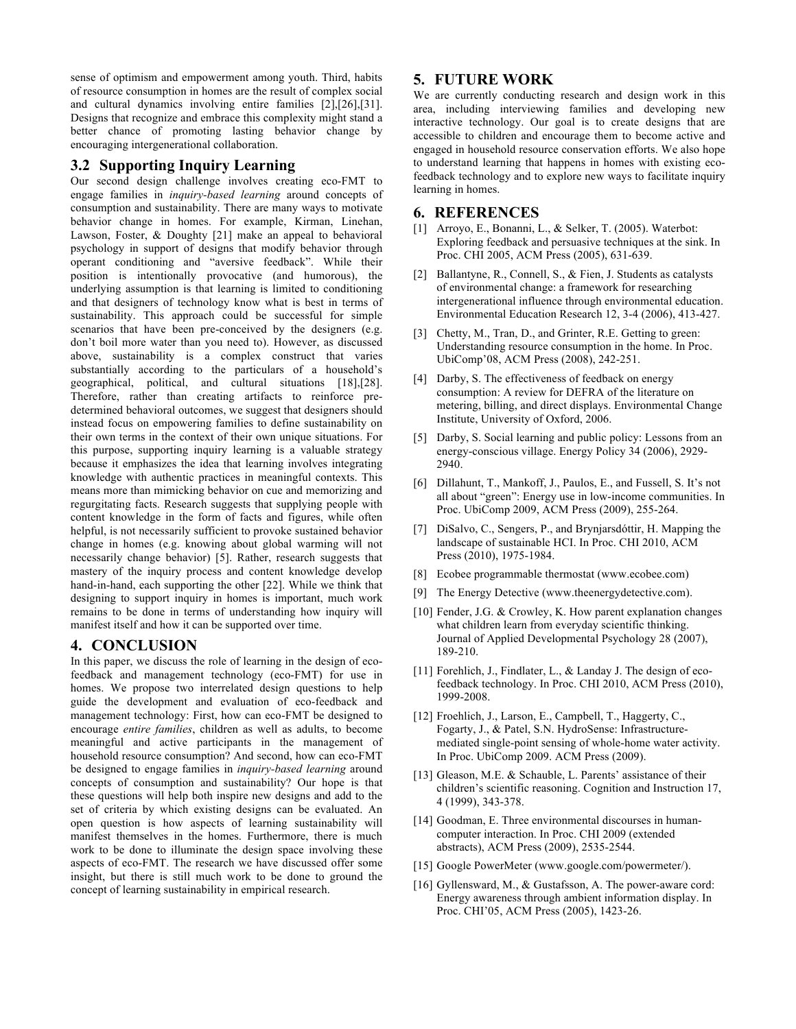sense of optimism and empowerment among youth. Third, habits of resource consumption in homes are the result of complex social and cultural dynamics involving entire families [2],[26],[31]. Designs that recognize and embrace this complexity might stand a better chance of promoting lasting behavior change by encouraging intergenerational collaboration.

#### **3.2 Supporting Inquiry Learning**

Our second design challenge involves creating eco-FMT to engage families in *inquiry-based learning* around concepts of consumption and sustainability. There are many ways to motivate behavior change in homes. For example, Kirman, Linehan, Lawson, Foster, & Doughty [21] make an appeal to behavioral psychology in support of designs that modify behavior through operant conditioning and "aversive feedback". While their position is intentionally provocative (and humorous), the underlying assumption is that learning is limited to conditioning and that designers of technology know what is best in terms of sustainability. This approach could be successful for simple scenarios that have been pre-conceived by the designers (e.g. don't boil more water than you need to). However, as discussed above, sustainability is a complex construct that varies substantially according to the particulars of a household's geographical, political, and cultural situations [18],[28]. Therefore, rather than creating artifacts to reinforce predetermined behavioral outcomes, we suggest that designers should instead focus on empowering families to define sustainability on their own terms in the context of their own unique situations. For this purpose, supporting inquiry learning is a valuable strategy because it emphasizes the idea that learning involves integrating knowledge with authentic practices in meaningful contexts. This means more than mimicking behavior on cue and memorizing and regurgitating facts. Research suggests that supplying people with content knowledge in the form of facts and figures, while often helpful, is not necessarily sufficient to provoke sustained behavior change in homes (e.g. knowing about global warming will not necessarily change behavior) [5]. Rather, research suggests that mastery of the inquiry process and content knowledge develop hand-in-hand, each supporting the other [22]. While we think that designing to support inquiry in homes is important, much work remains to be done in terms of understanding how inquiry will manifest itself and how it can be supported over time.

#### **4. CONCLUSION**

In this paper, we discuss the role of learning in the design of ecofeedback and management technology (eco-FMT) for use in homes. We propose two interrelated design questions to help guide the development and evaluation of eco-feedback and management technology: First, how can eco-FMT be designed to encourage *entire families*, children as well as adults, to become meaningful and active participants in the management of household resource consumption? And second, how can eco-FMT be designed to engage families in *inquiry-based learning* around concepts of consumption and sustainability? Our hope is that these questions will help both inspire new designs and add to the set of criteria by which existing designs can be evaluated. An open question is how aspects of learning sustainability will manifest themselves in the homes. Furthermore, there is much work to be done to illuminate the design space involving these aspects of eco-FMT. The research we have discussed offer some insight, but there is still much work to be done to ground the concept of learning sustainability in empirical research.

#### **5. FUTURE WORK**

We are currently conducting research and design work in this area, including interviewing families and developing new interactive technology. Our goal is to create designs that are accessible to children and encourage them to become active and engaged in household resource conservation efforts. We also hope to understand learning that happens in homes with existing ecofeedback technology and to explore new ways to facilitate inquiry learning in homes.

#### **6. REFERENCES**

- [1] Arroyo, E., Bonanni, L., & Selker, T. (2005). Waterbot: Exploring feedback and persuasive techniques at the sink. In Proc. CHI 2005, ACM Press (2005), 631-639.
- [2] Ballantyne, R., Connell, S., & Fien, J. Students as catalysts of environmental change: a framework for researching intergenerational influence through environmental education. Environmental Education Research 12, 3-4 (2006), 413-427.
- [3] Chetty, M., Tran, D., and Grinter, R.E. Getting to green: Understanding resource consumption in the home. In Proc. UbiComp'08, ACM Press (2008), 242-251.
- [4] Darby, S. The effectiveness of feedback on energy consumption: A review for DEFRA of the literature on metering, billing, and direct displays. Environmental Change Institute, University of Oxford, 2006.
- [5] Darby, S. Social learning and public policy: Lessons from an energy-conscious village. Energy Policy 34 (2006), 2929- 2940.
- [6] Dillahunt, T., Mankoff, J., Paulos, E., and Fussell, S. It's not all about "green": Energy use in low-income communities. In Proc. UbiComp 2009, ACM Press (2009), 255-264.
- [7] DiSalvo, C., Sengers, P., and Brynjarsdóttir, H. Mapping the landscape of sustainable HCI. In Proc. CHI 2010, ACM Press (2010), 1975-1984.
- [8] Ecobee programmable thermostat (www.ecobee.com)
- [9] The Energy Detective (www.theenergydetective.com).
- [10] Fender, J.G. & Crowley, K. How parent explanation changes what children learn from everyday scientific thinking. Journal of Applied Developmental Psychology 28 (2007), 189-210.
- [11] Forehlich, J., Findlater, L., & Landay J. The design of ecofeedback technology. In Proc. CHI 2010, ACM Press (2010), 1999-2008.
- [12] Froehlich, J., Larson, E., Campbell, T., Haggerty, C., Fogarty, J., & Patel, S.N. HydroSense: Infrastructuremediated single-point sensing of whole-home water activity. In Proc. UbiComp 2009. ACM Press (2009).
- [13] Gleason, M.E. & Schauble, L. Parents' assistance of their children's scientific reasoning. Cognition and Instruction 17, 4 (1999), 343-378.
- [14] Goodman, E. Three environmental discourses in humancomputer interaction. In Proc. CHI 2009 (extended abstracts), ACM Press (2009), 2535-2544.
- [15] Google PowerMeter (www.google.com/powermeter/).
- [16] Gyllensward, M., & Gustafsson, A. The power-aware cord: Energy awareness through ambient information display. In Proc. CHI'05, ACM Press (2005), 1423-26.